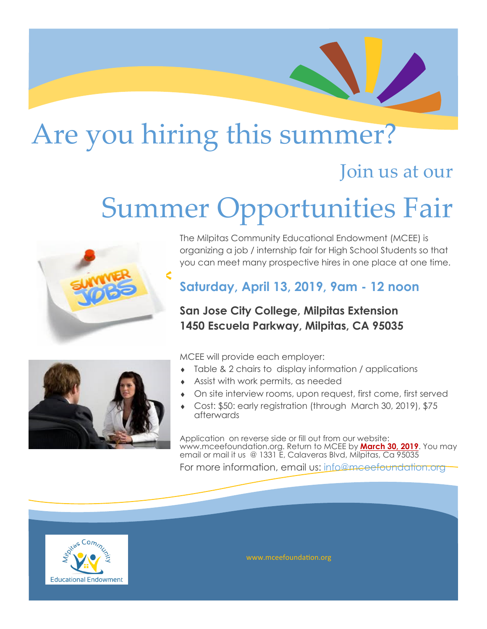## Are you hiring this summer?

### Join us at our

# Summer Opportunities Fair



The Milpitas Community Educational Endowment (MCEE) is organizing a job / internship fair for High School Students so that you can meet many prospective hires in one place at one time.

#### **Saturday, April 13, 2019, 9am - 12 noon**

#### **San Jose City College, Milpitas Extension 1450 Escuela Parkway, Milpitas, CA 95035**



MCEE will provide each employer:

- Table & 2 chairs to display information / applications
- Assist with work permits, as needed
- On site interview rooms, upon request, first come, first served
- Cost: \$50: early registration (through March 30, 2019), \$75 afterwards

Application on reverse side or fill out from our website: www.mceefoundation.org. Return to MCEE by **March 30, 2019**. You may email or mail it us @ 1331 E, Calaveras Blvd, Milpitas, Ca 95035

For more information, email us: info@mceefoundation.org



www.mceefoundation.org